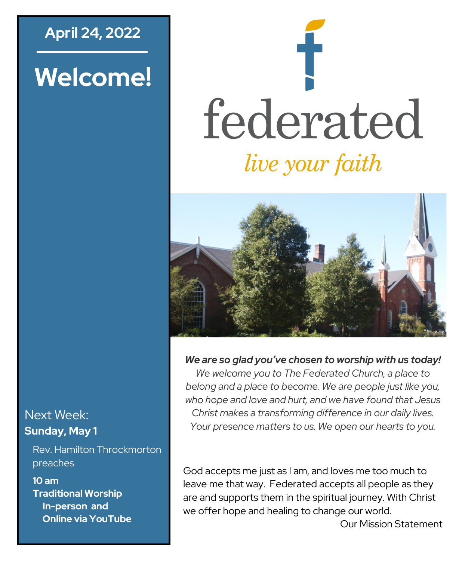## **April 24, 2022**

# **Welcome!**

# federated *live your faith*



#### *We are so glad you've chosen to worship with us today!*

*We welcome you to The Federated Church, a place to belong and a place to become. We are people just like you, who hope and love and hurt, and we have found that Jesus Christ makes a transforming difference in our daily lives. Your presence matters to us. We open our hearts to you.*

God accepts me just as I am, and loves me too much to leave me that way. Federated accepts all people as they are and supports them in the spiritual journey. With Christ we offer hope and healing to change our world.

Our Mission Statement

#### Next Week: **Sunday, May 1**

Rev. Hamilton Throckmorton preaches

**10 am Traditional Worship In-person and Online via YouTube**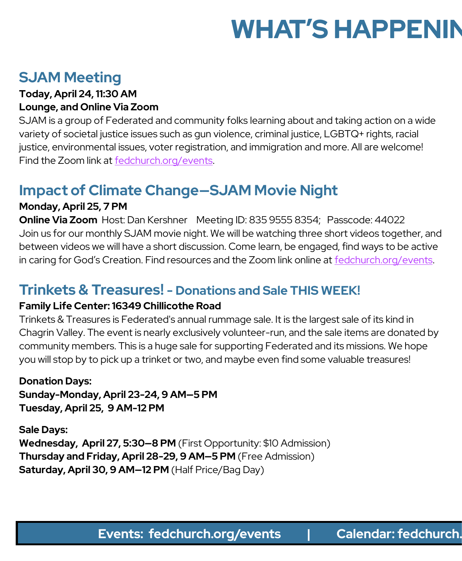# **WHAT'S HAPPENIN**

# **SJAM Meeting**

#### **Today, April 24, 11:30 AM Lounge, and Online Via Zoom**

SJAM is a group of Federated and community folks learning about and taking action on a wide variety of societal justice issues such as gun violence, criminal justice, LGBTQ+ rights, racial justice, environmental issues, voter registration, and immigration and more. All are welcome! Find the Zoom link at [fedchurch.org/events.](http://www.fedchurch.org/events)

# **Impact of Climate Change—SJAM Movie Night**

#### **Monday, April 25, 7 PM**

**Online Via Zoom** Host: Dan Kershner Meeting ID: 835 9555 8354; Passcode: 44022 Join us for our monthly SJAM movie night. We will be watching three short videos together, and between videos we will have a short discussion. Come learn, be engaged, find ways to be active in caring for God's Creation. Find resources and the Zoom link online at [fedchurch.org/events.](http://www.fedchurch.org/events)

### **Trinkets & Treasures! - Donations and Sale THIS WEEK!**

#### **Family Life Center: 16349 Chillicothe Road**

Trinkets & Treasures is Federated's annual rummage sale. It is the largest sale of its kind in Chagrin Valley. The event is nearly exclusively volunteer-run, and the sale items are donated by community members. This is a huge sale for supporting Federated and its missions. We hope you will stop by to pick up a trinket or two, and maybe even find some valuable treasures!

#### **Donation Days:**

**Sunday-Monday, April 23-24, 9 AM—5 PM Tuesday, April 25, 9 AM-12 PM** 

**Sale Days: Wednesday, April 27, 5:30—8 PM** (First Opportunity: \$10 Admission) **Thursday and Friday, April 28-29, 9 AM—5 PM** (Free Admission) **Saturday, April 30, 9 AM—12 PM** (Half Price/Bag Day)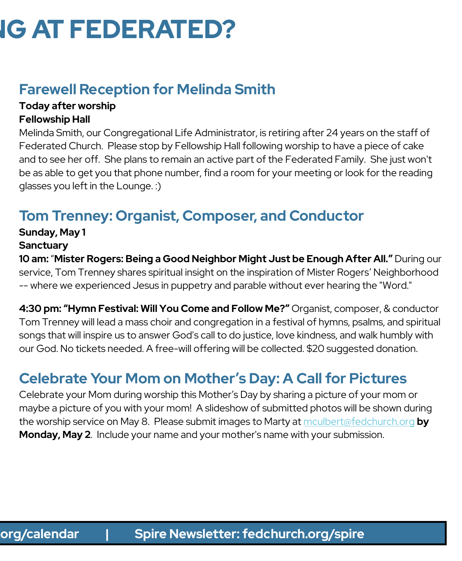# **IG AT FEDERATED?**

# **Farewell Reception for Melinda Smith**

#### **Today after worship Fellowship Hall**

Melinda Smith, our Congregational Life Administrator, is retiring after 24 years on the staff of Federated Church. Please stop by Fellowship Hall following worship to have a piece of cake and to see her off. She plans to remain an active part of the Federated Family. She just won't be as able to get you that phone number, find a room for your meeting or look for the reading glasses you left in the Lounge. :)

# **Tom Trenney: Organist, Composer, and Conductor**

#### **Sunday, May 1**

#### **Sanctuary**

**10 am:** "**Mister Rogers: Being a Good Neighbor Might Just be Enough After All."** During our service, Tom Trenney shares spiritual insight on the inspiration of Mister Rogers' Neighborhood -- where we experienced Jesus in puppetry and parable without ever hearing the "Word."

**4:30 pm: "Hymn Festival: Will You Come and Follow Me?"** Organist, composer, & conductor Tom Trenney will lead a mass choir and congregation in a festival of hymns, psalms, and spiritual songs that will inspire us to answer God's call to do justice, love kindness, and walk humbly with our God. No tickets needed. A free-will offering will be collected. \$20 suggested donation.

# **Celebrate Your Mom on Mother's Day: A Call for Pictures**

Celebrate your Mom during worship this Mother's Day by sharing a picture of your mom or maybe a picture of you with your mom! A slideshow of submitted photos will be shown during the worship service on May 8. Please submit images to Marty at [mculbert@fedchurch.org](mailto:mculbert@fedchurch.org?subject=Mother) **by Monday, May 2**. Include your name and your mother's name with your submission.